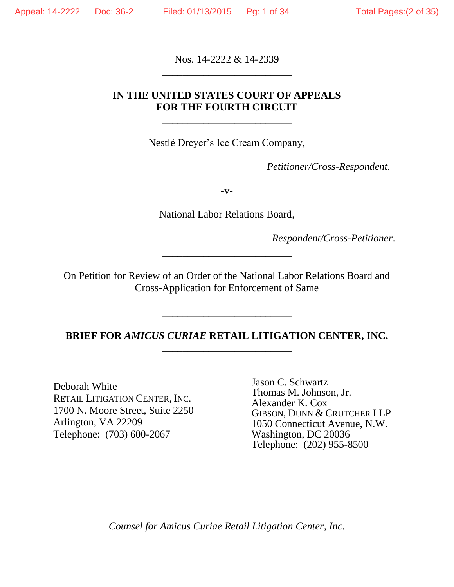Nos. 14-2222 & 14-2339 \_\_\_\_\_\_\_\_\_\_\_\_\_\_\_\_\_\_\_\_\_\_\_\_\_

## **IN THE UNITED STATES COURT OF APPEALS FOR THE FOURTH CIRCUIT**

\_\_\_\_\_\_\_\_\_\_\_\_\_\_\_\_\_\_\_\_\_\_\_\_\_

Nestlé Dreyer's Ice Cream Company,

*Petitioner/Cross-Respondent*,

 $-V-$ 

National Labor Relations Board,

*Respondent/Cross-Petitioner*.

On Petition for Review of an Order of the National Labor Relations Board and Cross-Application for Enforcement of Same

\_\_\_\_\_\_\_\_\_\_\_\_\_\_\_\_\_\_\_\_\_\_\_\_\_

## **BRIEF FOR** *AMICUS CURIAE* **RETAIL LITIGATION CENTER, INC.** \_\_\_\_\_\_\_\_\_\_\_\_\_\_\_\_\_\_\_\_\_\_\_\_\_

\_\_\_\_\_\_\_\_\_\_\_\_\_\_\_\_\_\_\_\_\_\_\_\_\_

Deborah White RETAIL LITIGATION CENTER, INC. 1700 N. Moore Street, Suite 2250 Arlington, VA 22209 Telephone: (703) 600-2067

Jason C. Schwartz Thomas M. Johnson, Jr. Alexander K. Cox GIBSON, DUNN & CRUTCHER LLP 1050 Connecticut Avenue, N.W. Washington, DC 20036 Telephone: (202) 955-8500

*Counsel for Amicus Curiae Retail Litigation Center, Inc.*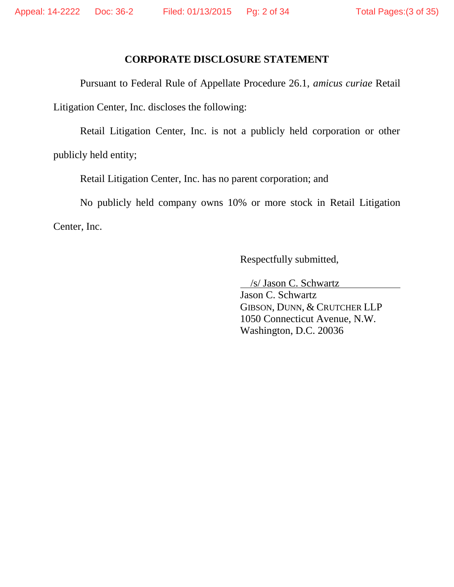### **CORPORATE DISCLOSURE STATEMENT**

Pursuant to Federal Rule of Appellate Procedure 26.1, *amicus curiae* Retail Litigation Center, Inc. discloses the following:

Retail Litigation Center, Inc. is not a publicly held corporation or other publicly held entity;

Retail Litigation Center, Inc. has no parent corporation; and

No publicly held company owns 10% or more stock in Retail Litigation Center, Inc.

Respectfully submitted,

/s/ Jason C. Schwartz

Jason C. Schwartz GIBSON, DUNN, & CRUTCHER LLP 1050 Connecticut Avenue, N.W. Washington, D.C. 20036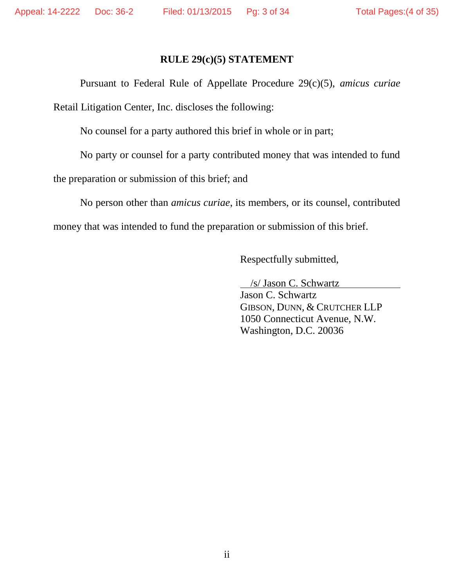### **RULE 29(c)(5) STATEMENT**

Pursuant to Federal Rule of Appellate Procedure 29(c)(5), *amicus curiae* Retail Litigation Center, Inc. discloses the following:

No counsel for a party authored this brief in whole or in part;

No party or counsel for a party contributed money that was intended to fund

the preparation or submission of this brief; and

No person other than *amicus curiae*, its members, or its counsel, contributed money that was intended to fund the preparation or submission of this brief.

Respectfully submitted,

/s/ Jason C. Schwartz

Jason C. Schwartz GIBSON, DUNN, & CRUTCHER LLP 1050 Connecticut Avenue, N.W. Washington, D.C. 20036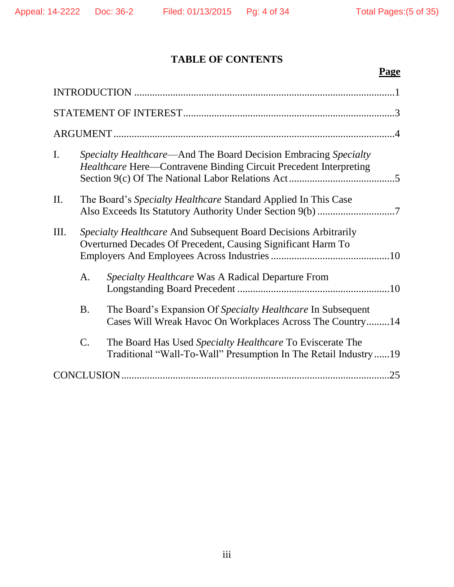# **TABLE OF CONTENTS**

# **Page**

| $\mathbf{I}$ . |                                                                                                                                 | <i>Specialty Healthcare—And The Board Decision Embracing Specialty</i><br><i>Healthcare</i> Here—Contravene Binding Circuit Precedent Interpreting |  |
|----------------|---------------------------------------------------------------------------------------------------------------------------------|----------------------------------------------------------------------------------------------------------------------------------------------------|--|
| II.            |                                                                                                                                 | The Board's Specialty Healthcare Standard Applied In This Case                                                                                     |  |
| Ш.             | Specialty Healthcare And Subsequent Board Decisions Arbitrarily<br>Overturned Decades Of Precedent, Causing Significant Harm To |                                                                                                                                                    |  |
|                | A.                                                                                                                              | Specialty Healthcare Was A Radical Departure From                                                                                                  |  |
|                | <b>B.</b>                                                                                                                       | The Board's Expansion Of Specialty Healthcare In Subsequent<br>Cases Will Wreak Havoc On Workplaces Across The Country14                           |  |
|                | $\mathcal{C}$ .                                                                                                                 | The Board Has Used Specialty Healthcare To Eviscerate The<br>Traditional "Wall-To-Wall" Presumption In The Retail Industry19                       |  |
|                |                                                                                                                                 | .25                                                                                                                                                |  |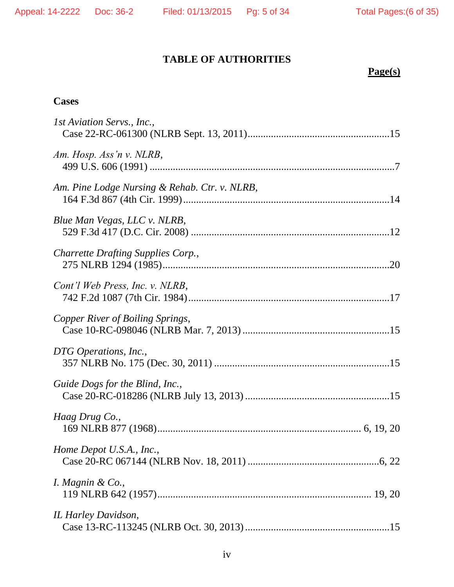# **TABLE OF AUTHORITIES**

# **Page(s)**

# **Cases**

| 1st Aviation Servs., Inc.,                    |
|-----------------------------------------------|
| Am. Hosp. Ass'n v. NLRB,                      |
| Am. Pine Lodge Nursing & Rehab. Ctr. v. NLRB, |
| Blue Man Vegas, LLC v. NLRB,                  |
| <b>Charrette Drafting Supplies Corp.,</b>     |
| Cont'l Web Press, Inc. v. NLRB,               |
| Copper River of Boiling Springs,              |
| DTG Operations, Inc.,                         |
| Guide Dogs for the Blind, Inc.,               |
| Haag Drug Co.,                                |
| Home Depot U.S.A., Inc.,                      |
| I. Magnin & Co.,                              |
| IL Harley Davidson,                           |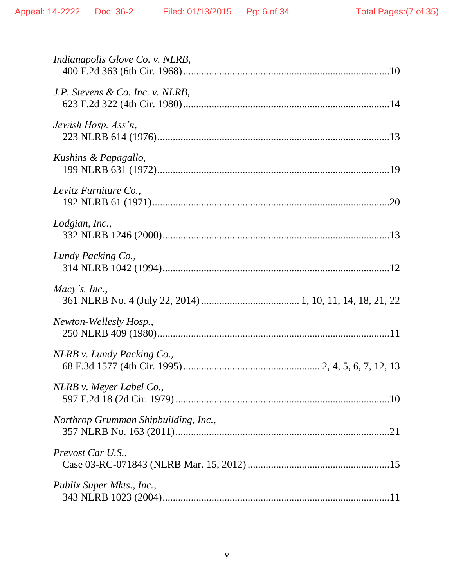| <i>Indianapolis Glove Co. v. NLRB,</i> |
|----------------------------------------|
| J.P. Stevens & Co. Inc. v. NLRB,       |
| Jewish Hosp. Ass'n,                    |
| Kushins & Papagallo,                   |
| Levitz Furniture Co.,                  |
| Lodgian, Inc.,                         |
| Lundy Packing Co.,                     |
| Macy's, Inc.,                          |
| Newton-Wellesly Hosp.,                 |
| NLRB v. Lundy Packing Co.,             |
| NLRB v. Meyer Label Co.,               |
| Northrop Grumman Shipbuilding, Inc.,   |
| Prevost Car U.S.,                      |
| Publix Super Mkts., Inc.,              |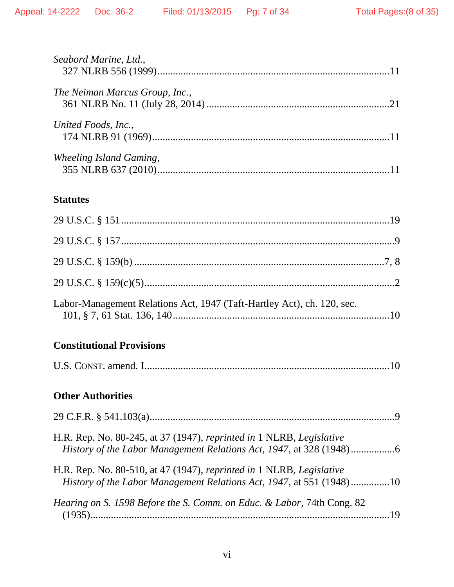| Seabord Marine, Ltd.,          |  |
|--------------------------------|--|
| The Neiman Marcus Group, Inc., |  |
| United Foods, Inc.,            |  |
| Wheeling Island Gaming,        |  |
| <b>Statutes</b>                |  |
|                                |  |
|                                |  |
|                                |  |

| Labor-Management Relations Act, 1947 (Taft-Hartley Act), ch. 120, sec. |  |
|------------------------------------------------------------------------|--|

# **Constitutional Provisions**

|--|--|--|--|--|--|

# **Other Authorities**

| H.R. Rep. No. 80-245, at 37 (1947), reprinted in 1 NLRB, Legislative                                                                         |  |
|----------------------------------------------------------------------------------------------------------------------------------------------|--|
| H.R. Rep. No. 80-510, at 47 (1947), reprinted in 1 NLRB, Legislative<br>History of the Labor Management Relations Act, 1947, at 551 (1948)10 |  |
| Hearing on S. 1598 Before the S. Comm. on Educ. & Labor, 74th Cong. 82                                                                       |  |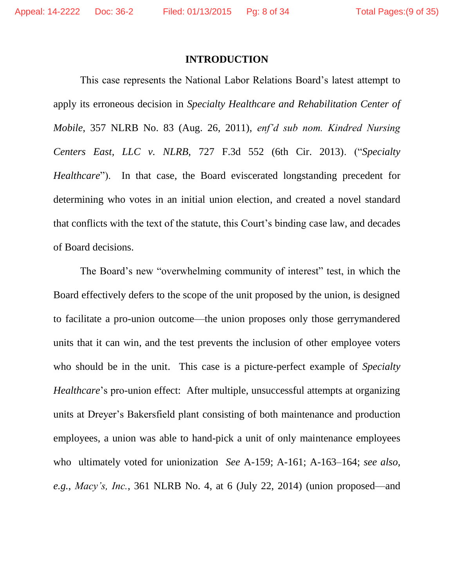#### **INTRODUCTION**

This case represents the National Labor Relations Board's latest attempt to apply its erroneous decision in *Specialty Healthcare and Rehabilitation Center of Mobile*, 357 NLRB No. 83 (Aug. 26, 2011), *enf'd sub nom. Kindred Nursing Centers East, LLC v. NLRB*, 727 F.3d 552 (6th Cir. 2013). ("*Specialty Healthcare*"). In that case, the Board eviscerated longstanding precedent for determining who votes in an initial union election, and created a novel standard that conflicts with the text of the statute, this Court's binding case law, and decades of Board decisions.

The Board's new "overwhelming community of interest" test, in which the Board effectively defers to the scope of the unit proposed by the union, is designed to facilitate a pro-union outcome—the union proposes only those gerrymandered units that it can win, and the test prevents the inclusion of other employee voters who should be in the unit. This case is a picture-perfect example of *Specialty Healthcare*'s pro-union effect: After multiple, unsuccessful attempts at organizing units at Dreyer's Bakersfield plant consisting of both maintenance and production employees, a union was able to hand-pick a unit of only maintenance employees who ultimately voted for unionization *See* A-159; A-161; A-163–164; *see also, e.g.*, *Macy's, Inc.*, 361 NLRB No. 4, at 6 (July 22, 2014) (union proposed—and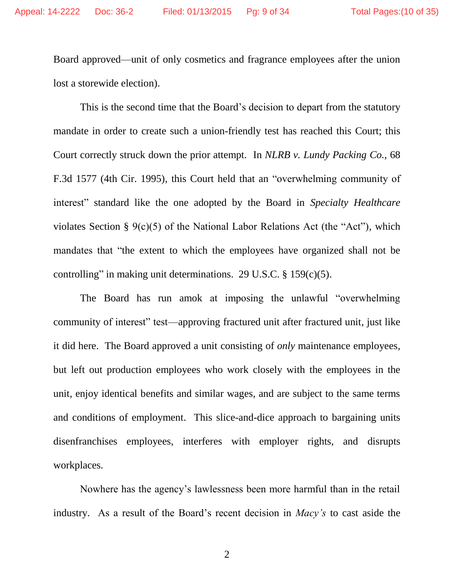Board approved—unit of only cosmetics and fragrance employees after the union lost a storewide election).

This is the second time that the Board's decision to depart from the statutory mandate in order to create such a union-friendly test has reached this Court; this Court correctly struck down the prior attempt. In *NLRB v. Lundy Packing Co.*, 68 F.3d 1577 (4th Cir. 1995), this Court held that an "overwhelming community of interest" standard like the one adopted by the Board in *Specialty Healthcare*  violates Section § 9(c)(5) of the National Labor Relations Act (the "Act"), which mandates that "the extent to which the employees have organized shall not be controlling" in making unit determinations. 29 U.S.C. § 159(c)(5).

The Board has run amok at imposing the unlawful "overwhelming community of interest" test—approving fractured unit after fractured unit, just like it did here. The Board approved a unit consisting of *only* maintenance employees, but left out production employees who work closely with the employees in the unit, enjoy identical benefits and similar wages, and are subject to the same terms and conditions of employment. This slice-and-dice approach to bargaining units disenfranchises employees, interferes with employer rights, and disrupts workplaces.

Nowhere has the agency's lawlessness been more harmful than in the retail industry. As a result of the Board's recent decision in *Macy's* to cast aside the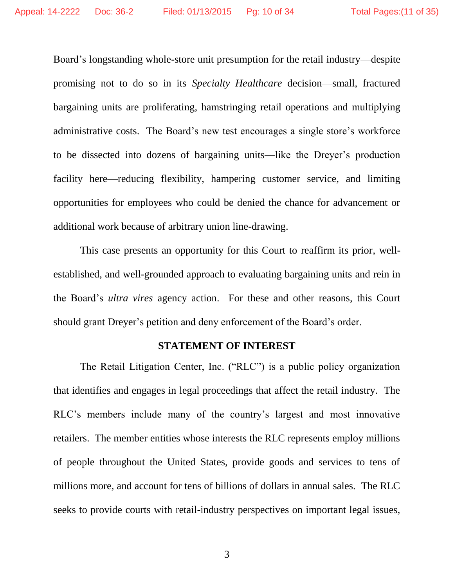Board's longstanding whole-store unit presumption for the retail industry—despite promising not to do so in its *Specialty Healthcare* decision—small, fractured bargaining units are proliferating, hamstringing retail operations and multiplying administrative costs. The Board's new test encourages a single store's workforce to be dissected into dozens of bargaining units—like the Dreyer's production facility here—reducing flexibility, hampering customer service, and limiting opportunities for employees who could be denied the chance for advancement or additional work because of arbitrary union line-drawing.

This case presents an opportunity for this Court to reaffirm its prior, wellestablished, and well-grounded approach to evaluating bargaining units and rein in the Board's *ultra vires* agency action. For these and other reasons, this Court should grant Dreyer's petition and deny enforcement of the Board's order.

#### **STATEMENT OF INTEREST**

The Retail Litigation Center, Inc. ("RLC") is a public policy organization that identifies and engages in legal proceedings that affect the retail industry. The RLC's members include many of the country's largest and most innovative retailers. The member entities whose interests the RLC represents employ millions of people throughout the United States, provide goods and services to tens of millions more, and account for tens of billions of dollars in annual sales. The RLC seeks to provide courts with retail-industry perspectives on important legal issues,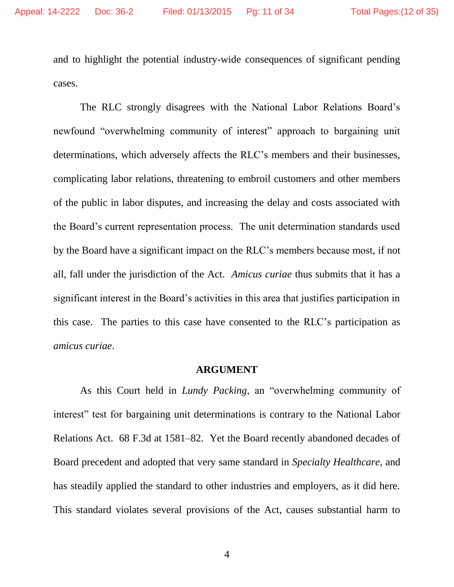and to highlight the potential industry-wide consequences of significant pending cases.

The RLC strongly disagrees with the National Labor Relations Board's newfound "overwhelming community of interest" approach to bargaining unit determinations, which adversely affects the RLC's members and their businesses, complicating labor relations, threatening to embroil customers and other members of the public in labor disputes, and increasing the delay and costs associated with the Board's current representation process. The unit determination standards used by the Board have a significant impact on the RLC's members because most, if not all, fall under the jurisdiction of the Act. *Amicus curiae* thus submits that it has a significant interest in the Board's activities in this area that justifies participation in this case. The parties to this case have consented to the RLC's participation as *amicus curiae*.

#### **ARGUMENT**

As this Court held in *Lundy Packing*, an "overwhelming community of interest" test for bargaining unit determinations is contrary to the National Labor Relations Act. 68 F.3d at 1581–82. Yet the Board recently abandoned decades of Board precedent and adopted that very same standard in *Specialty Healthcare*, and has steadily applied the standard to other industries and employers, as it did here. This standard violates several provisions of the Act, causes substantial harm to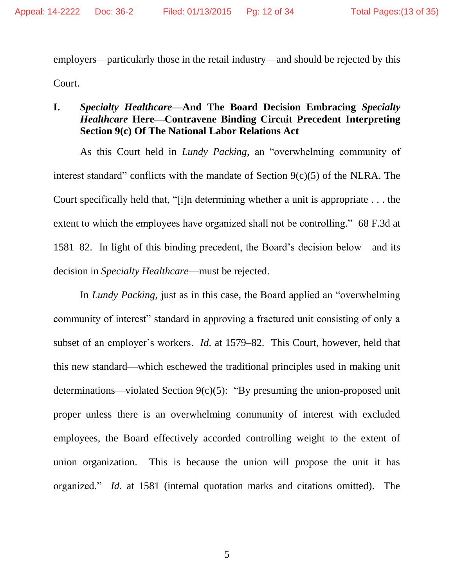employers—particularly those in the retail industry—and should be rejected by this Court.

## **I.** *Specialty Healthcare—***And The Board Decision Embracing** *Specialty Healthcare* **Here—Contravene Binding Circuit Precedent Interpreting Section 9(c) Of The National Labor Relations Act**

As this Court held in *Lundy Packing*, an "overwhelming community of interest standard" conflicts with the mandate of Section 9(c)(5) of the NLRA. The Court specifically held that, "[i]n determining whether a unit is appropriate . . . the extent to which the employees have organized shall not be controlling." 68 F.3d at 1581–82. In light of this binding precedent, the Board's decision below—and its decision in *Specialty Healthcare*—must be rejected.

In *Lundy Packing*, just as in this case, the Board applied an "overwhelming community of interest" standard in approving a fractured unit consisting of only a subset of an employer's workers. *Id*. at 1579–82. This Court, however, held that this new standard—which eschewed the traditional principles used in making unit determinations—violated Section 9(c)(5): "By presuming the union-proposed unit proper unless there is an overwhelming community of interest with excluded employees, the Board effectively accorded controlling weight to the extent of union organization. This is because the union will propose the unit it has organized." *Id*. at 1581 (internal quotation marks and citations omitted). The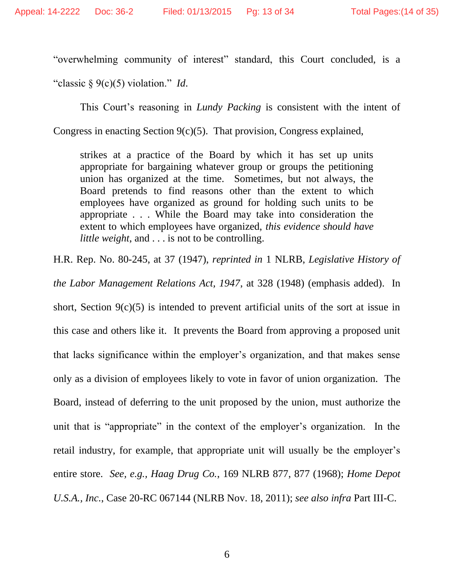"overwhelming community of interest" standard, this Court concluded, is a

"classic § 9(c)(5) violation." *Id*.

This Court's reasoning in *Lundy Packing* is consistent with the intent of

Congress in enacting Section 9(c)(5). That provision, Congress explained,

strikes at a practice of the Board by which it has set up units appropriate for bargaining whatever group or groups the petitioning union has organized at the time. Sometimes, but not always, the Board pretends to find reasons other than the extent to which employees have organized as ground for holding such units to be appropriate . . . While the Board may take into consideration the extent to which employees have organized, *this evidence should have little weight*, and . . . is not to be controlling.

H.R. Rep. No. 80-245, at 37 (1947), *reprinted in* 1 NLRB, *Legislative History of* 

*the Labor Management Relations Act, 1947*, at 328 (1948) (emphasis added). In

short, Section  $9(c)(5)$  is intended to prevent artificial units of the sort at issue in this case and others like it. It prevents the Board from approving a proposed unit that lacks significance within the employer's organization, and that makes sense only as a division of employees likely to vote in favor of union organization. The Board, instead of deferring to the unit proposed by the union, must authorize the unit that is "appropriate" in the context of the employer's organization. In the retail industry, for example, that appropriate unit will usually be the employer's entire store. *See, e.g., Haag Drug Co.*, 169 NLRB 877, 877 (1968); *Home Depot U.S.A., Inc.*, Case 20-RC 067144 (NLRB Nov. 18, 2011); *see also infra* Part III-C.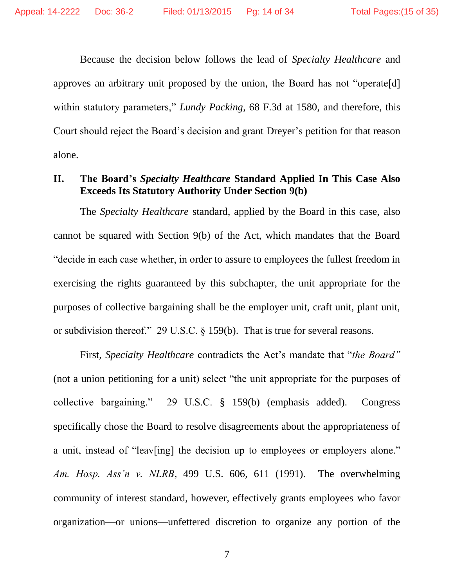Because the decision below follows the lead of *Specialty Healthcare* and approves an arbitrary unit proposed by the union, the Board has not "operate[d] within statutory parameters," *Lundy Packing*, 68 F.3d at 1580, and therefore, this Court should reject the Board's decision and grant Dreyer's petition for that reason alone.

## **II. The Board's** *Specialty Healthcare* **Standard Applied In This Case Also Exceeds Its Statutory Authority Under Section 9(b)**

The *Specialty Healthcare* standard, applied by the Board in this case, also cannot be squared with Section 9(b) of the Act, which mandates that the Board "decide in each case whether, in order to assure to employees the fullest freedom in exercising the rights guaranteed by this subchapter, the unit appropriate for the purposes of collective bargaining shall be the employer unit, craft unit, plant unit, or subdivision thereof." 29 U.S.C. § 159(b). That is true for several reasons.

First, *Specialty Healthcare* contradicts the Act's mandate that "*the Board"* (not a union petitioning for a unit) select "the unit appropriate for the purposes of collective bargaining." 29 U.S.C. § 159(b) (emphasis added). Congress specifically chose the Board to resolve disagreements about the appropriateness of a unit, instead of "leav[ing] the decision up to employees or employers alone." *Am. Hosp. Ass'n v. NLRB*, 499 U.S. 606, 611 (1991).The overwhelming community of interest standard, however, effectively grants employees who favor organization—or unions—unfettered discretion to organize any portion of the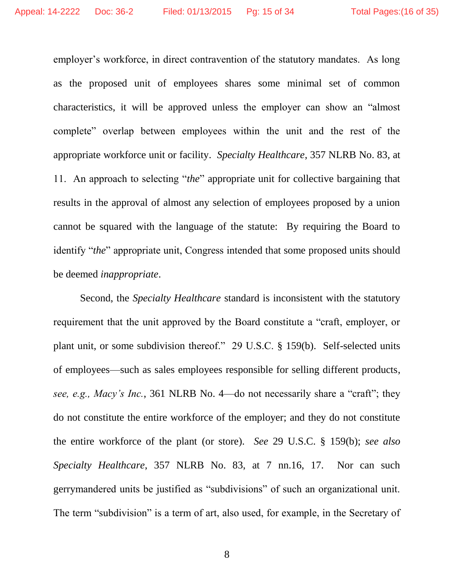employer's workforce, in direct contravention of the statutory mandates. As long as the proposed unit of employees shares some minimal set of common characteristics, it will be approved unless the employer can show an "almost complete" overlap between employees within the unit and the rest of the appropriate workforce unit or facility. *Specialty Healthcare*, 357 NLRB No. 83, at 11. An approach to selecting "*the*" appropriate unit for collective bargaining that results in the approval of almost any selection of employees proposed by a union cannot be squared with the language of the statute: By requiring the Board to identify "*the*" appropriate unit, Congress intended that some proposed units should be deemed *inappropriate*.

Second, the *Specialty Healthcare* standard is inconsistent with the statutory requirement that the unit approved by the Board constitute a "craft, employer, or plant unit, or some subdivision thereof." 29 U.S.C. § 159(b). Self-selected units of employees—such as sales employees responsible for selling different products, *see, e.g., Macy's Inc.*, 361 NLRB No. 4—do not necessarily share a "craft"; they do not constitute the entire workforce of the employer; and they do not constitute the entire workforce of the plant (or store). *See* 29 U.S.C. § 159(b); *see also Specialty Healthcare*, 357 NLRB No. 83, at 7 nn.16, 17. Nor can such gerrymandered units be justified as "subdivisions" of such an organizational unit. The term "subdivision" is a term of art, also used, for example, in the Secretary of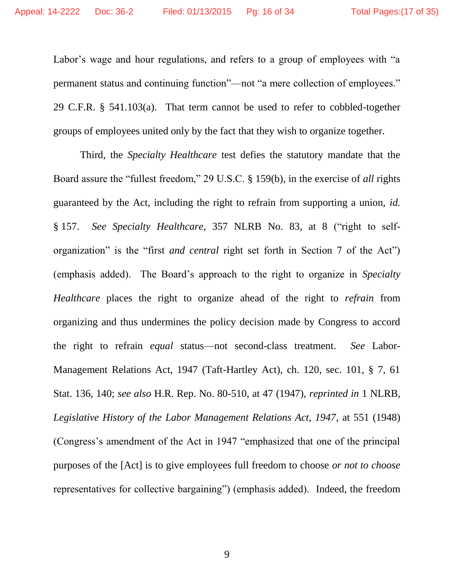Labor's wage and hour regulations, and refers to a group of employees with "a permanent status and continuing function"—not "a mere collection of employees." 29 C.F.R. § 541.103(a). That term cannot be used to refer to cobbled-together groups of employees united only by the fact that they wish to organize together.

Third, the *Specialty Healthcare* test defies the statutory mandate that the Board assure the "fullest freedom," 29 U.S.C. § 159(b), in the exercise of *all* rights guaranteed by the Act, including the right to refrain from supporting a union, *id.* § 157. *See Specialty Healthcare*, 357 NLRB No. 83, at 8 ("right to selforganization" is the "first *and central* right set forth in Section 7 of the Act") (emphasis added). The Board's approach to the right to organize in *Specialty Healthcare* places the right to organize ahead of the right to *refrain* from organizing and thus undermines the policy decision made by Congress to accord the right to refrain *equal* status—not second-class treatment. *See* Labor-Management Relations Act, 1947 (Taft-Hartley Act), ch. 120, sec. 101, § 7, 61 Stat. 136, 140; *see also* H.R. Rep. No. 80-510, at 47 (1947), *reprinted in* 1 NLRB, *Legislative History of the Labor Management Relations Act, 1947*, at 551 (1948) (Congress's amendment of the Act in 1947 "emphasized that one of the principal purposes of the [Act] is to give employees full freedom to choose *or not to choose* representatives for collective bargaining") (emphasis added). Indeed, the freedom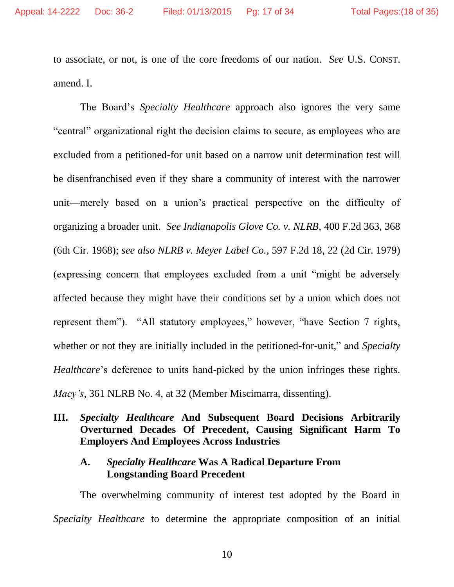to associate, or not, is one of the core freedoms of our nation. *See* U.S. CONST. amend. I.

The Board's *Specialty Healthcare* approach also ignores the very same "central" organizational right the decision claims to secure, as employees who are excluded from a petitioned-for unit based on a narrow unit determination test will be disenfranchised even if they share a community of interest with the narrower unit—merely based on a union's practical perspective on the difficulty of organizing a broader unit. *See Indianapolis Glove Co. v. NLRB*, 400 F.2d 363, 368 (6th Cir. 1968); *see also NLRB v. Meyer Label Co.*, 597 F.2d 18, 22 (2d Cir. 1979) (expressing concern that employees excluded from a unit "might be adversely affected because they might have their conditions set by a union which does not represent them"). "All statutory employees," however, "have Section 7 rights, whether or not they are initially included in the petitioned-for-unit," and *Specialty Healthcare*'s deference to units hand-picked by the union infringes these rights. *Macy's*, 361 NLRB No. 4, at 32 (Member Miscimarra, dissenting).

## **III.** *Specialty Healthcare* **And Subsequent Board Decisions Arbitrarily Overturned Decades Of Precedent, Causing Significant Harm To Employers And Employees Across Industries**

### **A.** *Specialty Healthcare* **Was A Radical Departure From Longstanding Board Precedent**

The overwhelming community of interest test adopted by the Board in *Specialty Healthcare* to determine the appropriate composition of an initial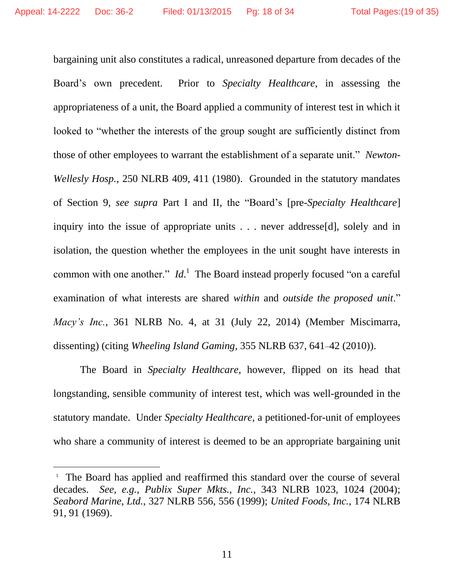bargaining unit also constitutes a radical, unreasoned departure from decades of the Board's own precedent. Prior to *Specialty Healthcare*, in assessing the appropriateness of a unit, the Board applied a community of interest test in which it looked to "whether the interests of the group sought are sufficiently distinct from those of other employees to warrant the establishment of a separate unit." *Newton-Wellesly Hosp.*, 250 NLRB 409, 411 (1980). Grounded in the statutory mandates of Section 9, *see supra* Part I and II, the "Board's [pre-*Specialty Healthcare*] inquiry into the issue of appropriate units . . . never addresse[d], solely and in isolation, the question whether the employees in the unit sought have interests in common with one another."  $Id$ <sup>1</sup>. The Board instead properly focused "on a careful examination of what interests are shared *within* and *outside the proposed unit*." *Macy's Inc.*, 361 NLRB No. 4, at 31 (July 22, 2014) (Member Miscimarra, dissenting) (citing *Wheeling Island Gaming*, 355 NLRB 637, 641–42 (2010)).

The Board in *Specialty Healthcare*, however, flipped on its head that longstanding, sensible community of interest test, which was well-grounded in the statutory mandate. Under *Specialty Healthcare*, a petitioned-for-unit of employees who share a community of interest is deemed to be an appropriate bargaining unit

 $\overline{a}$ 

<sup>&</sup>lt;sup>1</sup> The Board has applied and reaffirmed this standard over the course of several decades. *See, e.g.*, *Publix Super Mkts., Inc.*, 343 NLRB 1023, 1024 (2004); *Seabord Marine, Ltd.*, 327 NLRB 556, 556 (1999); *United Foods, Inc.*, 174 NLRB 91, 91 (1969).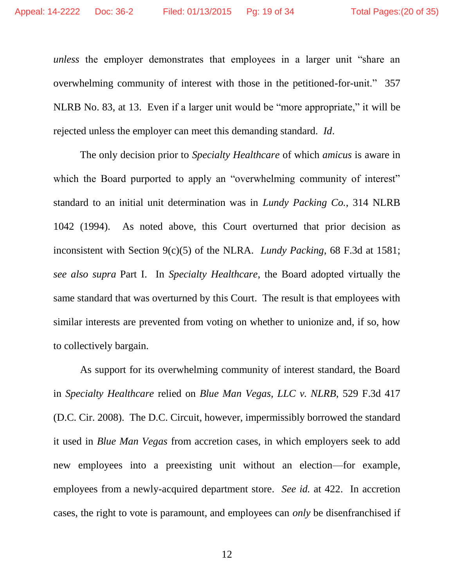*unless* the employer demonstrates that employees in a larger unit "share an overwhelming community of interest with those in the petitioned-for-unit." 357 NLRB No. 83, at 13. Even if a larger unit would be "more appropriate," it will be rejected unless the employer can meet this demanding standard. *Id*.

The only decision prior to *Specialty Healthcare* of which *amicus* is aware in which the Board purported to apply an "overwhelming community of interest" standard to an initial unit determination was in *Lundy Packing Co.*, 314 NLRB 1042 (1994). As noted above, this Court overturned that prior decision as inconsistent with Section 9(c)(5) of the NLRA. *Lundy Packing*, 68 F.3d at 1581; *see also supra* Part I. In *Specialty Healthcare*, the Board adopted virtually the same standard that was overturned by this Court. The result is that employees with similar interests are prevented from voting on whether to unionize and, if so, how to collectively bargain.

As support for its overwhelming community of interest standard, the Board in *Specialty Healthcare* relied on *Blue Man Vegas, LLC v. NLRB*, 529 F.3d 417 (D.C. Cir. 2008). The D.C. Circuit, however, impermissibly borrowed the standard it used in *Blue Man Vegas* from accretion cases, in which employers seek to add new employees into a preexisting unit without an election—for example, employees from a newly-acquired department store. *See id.* at 422. In accretion cases, the right to vote is paramount, and employees can *only* be disenfranchised if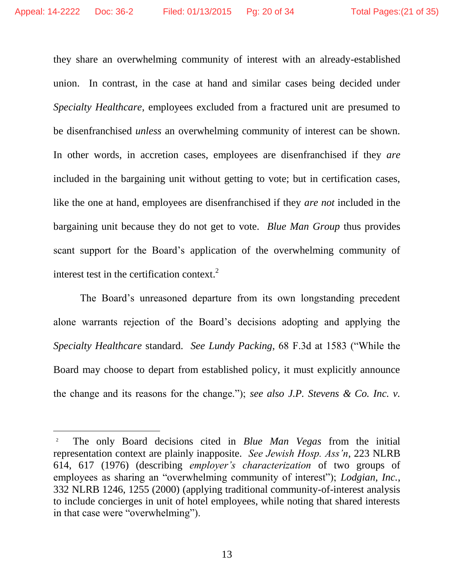$\overline{a}$ 

they share an overwhelming community of interest with an already-established union. In contrast, in the case at hand and similar cases being decided under *Specialty Healthcare*, employees excluded from a fractured unit are presumed to be disenfranchised *unless* an overwhelming community of interest can be shown. In other words, in accretion cases, employees are disenfranchised if they *are* included in the bargaining unit without getting to vote; but in certification cases, like the one at hand, employees are disenfranchised if they *are not* included in the bargaining unit because they do not get to vote. *Blue Man Group* thus provides scant support for the Board's application of the overwhelming community of interest test in the certification context.<sup>2</sup>

The Board's unreasoned departure from its own longstanding precedent alone warrants rejection of the Board's decisions adopting and applying the *Specialty Healthcare* standard. *See Lundy Packing*, 68 F.3d at 1583 ("While the Board may choose to depart from established policy, it must explicitly announce the change and its reasons for the change."); *see also J.P. Stevens & Co. Inc. v.* 

<sup>2</sup> The only Board decisions cited in *Blue Man Vegas* from the initial representation context are plainly inapposite. *See Jewish Hosp. Ass'n*, 223 NLRB 614, 617 (1976) (describing *employer's characterization* of two groups of employees as sharing an "overwhelming community of interest"); *Lodgian, Inc.*, 332 NLRB 1246, 1255 (2000) (applying traditional community-of-interest analysis to include concierges in unit of hotel employees, while noting that shared interests in that case were "overwhelming").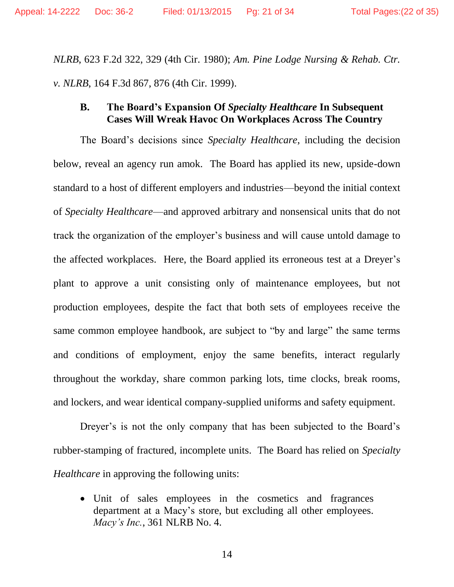*NLRB*, 623 F.2d 322, 329 (4th Cir. 1980); *Am. Pine Lodge Nursing & Rehab. Ctr. v. NLRB*, 164 F.3d 867, 876 (4th Cir. 1999).

### **B. The Board's Expansion Of** *Specialty Healthcare* **In Subsequent Cases Will Wreak Havoc On Workplaces Across The Country**

The Board's decisions since *Specialty Healthcare*, including the decision below, reveal an agency run amok. The Board has applied its new, upside-down standard to a host of different employers and industries—beyond the initial context of *Specialty Healthcare*—and approved arbitrary and nonsensical units that do not track the organization of the employer's business and will cause untold damage to the affected workplaces. Here, the Board applied its erroneous test at a Dreyer's plant to approve a unit consisting only of maintenance employees, but not production employees, despite the fact that both sets of employees receive the same common employee handbook, are subject to "by and large" the same terms and conditions of employment, enjoy the same benefits, interact regularly throughout the workday, share common parking lots, time clocks, break rooms, and lockers, and wear identical company-supplied uniforms and safety equipment.

Dreyer's is not the only company that has been subjected to the Board's rubber-stamping of fractured, incomplete units. The Board has relied on *Specialty Healthcare* in approving the following units:

 Unit of sales employees in the cosmetics and fragrances department at a Macy's store, but excluding all other employees. *Macy's Inc.*, 361 NLRB No. 4.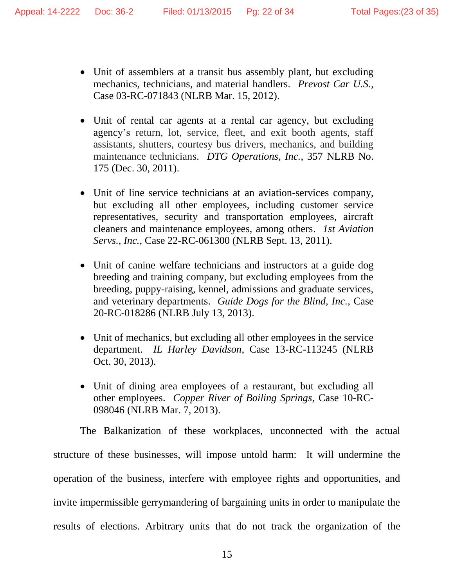- Unit of assemblers at a transit bus assembly plant, but excluding mechanics, technicians, and material handlers. *Prevost Car U.S.*, Case 03-RC-071843 (NLRB Mar. 15, 2012).
- Unit of rental car agents at a rental car agency, but excluding agency's return, lot, service, fleet, and exit booth agents, staff assistants, shutters, courtesy bus drivers, mechanics, and building maintenance technicians. *DTG Operations, Inc.*, 357 NLRB No. 175 (Dec. 30, 2011).
- Unit of line service technicians at an aviation-services company, but excluding all other employees, including customer service representatives, security and transportation employees, aircraft cleaners and maintenance employees, among others. *1st Aviation Servs., Inc.*, Case 22-RC-061300 (NLRB Sept. 13, 2011).
- Unit of canine welfare technicians and instructors at a guide dog breeding and training company, but excluding employees from the breeding, puppy-raising, kennel, admissions and graduate services, and veterinary departments. *Guide Dogs for the Blind, Inc.*, Case 20-RC-018286 (NLRB July 13, 2013).
- Unit of mechanics, but excluding all other employees in the service department. *IL Harley Davidson*, Case 13-RC-113245 (NLRB Oct. 30, 2013).
- Unit of dining area employees of a restaurant, but excluding all other employees. *Copper River of Boiling Springs*, Case 10-RC-098046 (NLRB Mar. 7, 2013).

The Balkanization of these workplaces, unconnected with the actual structure of these businesses, will impose untold harm: It will undermine the operation of the business, interfere with employee rights and opportunities, and invite impermissible gerrymandering of bargaining units in order to manipulate the results of elections. Arbitrary units that do not track the organization of the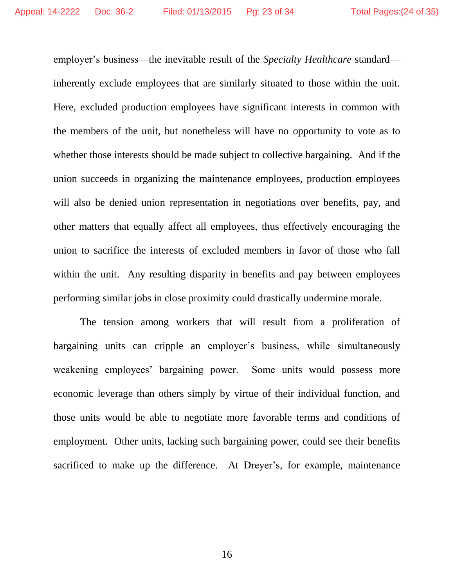employer's business—the inevitable result of the *Specialty Healthcare* standard inherently exclude employees that are similarly situated to those within the unit. Here, excluded production employees have significant interests in common with the members of the unit, but nonetheless will have no opportunity to vote as to whether those interests should be made subject to collective bargaining. And if the union succeeds in organizing the maintenance employees, production employees will also be denied union representation in negotiations over benefits, pay, and other matters that equally affect all employees, thus effectively encouraging the union to sacrifice the interests of excluded members in favor of those who fall within the unit. Any resulting disparity in benefits and pay between employees performing similar jobs in close proximity could drastically undermine morale.

The tension among workers that will result from a proliferation of bargaining units can cripple an employer's business, while simultaneously weakening employees' bargaining power. Some units would possess more economic leverage than others simply by virtue of their individual function, and those units would be able to negotiate more favorable terms and conditions of employment. Other units, lacking such bargaining power, could see their benefits sacrificed to make up the difference. At Dreyer's, for example, maintenance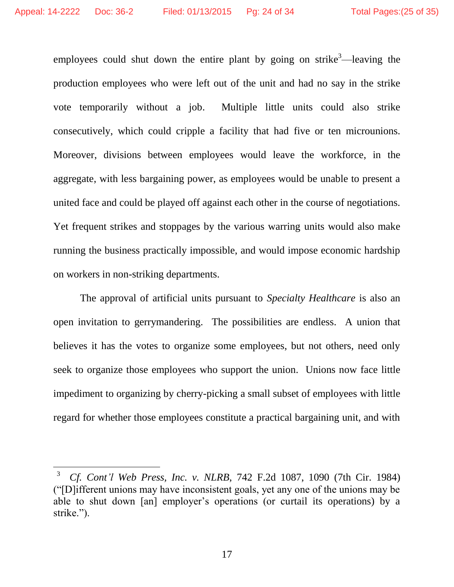$\overline{a}$ 

employees could shut down the entire plant by going on strike<sup>3</sup>—leaving the production employees who were left out of the unit and had no say in the strike vote temporarily without a job. Multiple little units could also strike consecutively, which could cripple a facility that had five or ten microunions. Moreover, divisions between employees would leave the workforce, in the aggregate, with less bargaining power, as employees would be unable to present a united face and could be played off against each other in the course of negotiations. Yet frequent strikes and stoppages by the various warring units would also make running the business practically impossible, and would impose economic hardship on workers in non-striking departments.

The approval of artificial units pursuant to *Specialty Healthcare* is also an open invitation to gerrymandering. The possibilities are endless. A union that believes it has the votes to organize some employees, but not others, need only seek to organize those employees who support the union. Unions now face little impediment to organizing by cherry-picking a small subset of employees with little regard for whether those employees constitute a practical bargaining unit, and with

<sup>3</sup> *Cf. Cont'l Web Press, Inc. v. NLRB*, 742 F.2d 1087, 1090 (7th Cir. 1984) ("[D]ifferent unions may have inconsistent goals, yet any one of the unions may be able to shut down [an] employer's operations (or curtail its operations) by a strike.").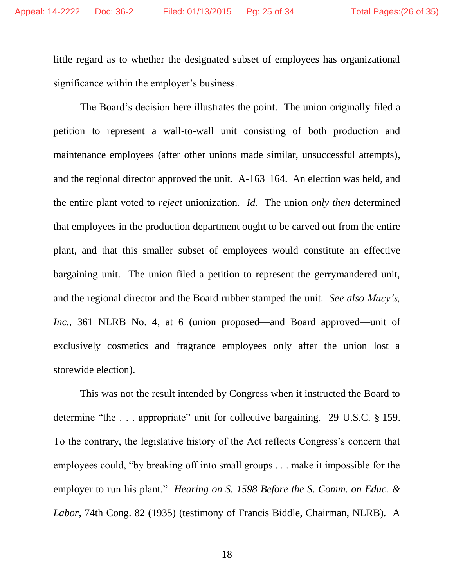little regard as to whether the designated subset of employees has organizational significance within the employer's business.

The Board's decision here illustrates the point. The union originally filed a petition to represent a wall-to-wall unit consisting of both production and maintenance employees (after other unions made similar, unsuccessful attempts), and the regional director approved the unit. A-163–164. An election was held, and the entire plant voted to *reject* unionization. *Id.* The union *only then* determined that employees in the production department ought to be carved out from the entire plant, and that this smaller subset of employees would constitute an effective bargaining unit. The union filed a petition to represent the gerrymandered unit, and the regional director and the Board rubber stamped the unit. *See also Macy's, Inc.*, 361 NLRB No. 4, at 6 (union proposed—and Board approved—unit of exclusively cosmetics and fragrance employees only after the union lost a storewide election).

This was not the result intended by Congress when it instructed the Board to determine "the ... appropriate" unit for collective bargaining. 29 U.S.C. § 159. To the contrary, the legislative history of the Act reflects Congress's concern that employees could, "by breaking off into small groups . . . make it impossible for the employer to run his plant." *Hearing on S. 1598 Before the S. Comm. on Educ. & Labor*, 74th Cong. 82 (1935) (testimony of Francis Biddle, Chairman, NLRB). A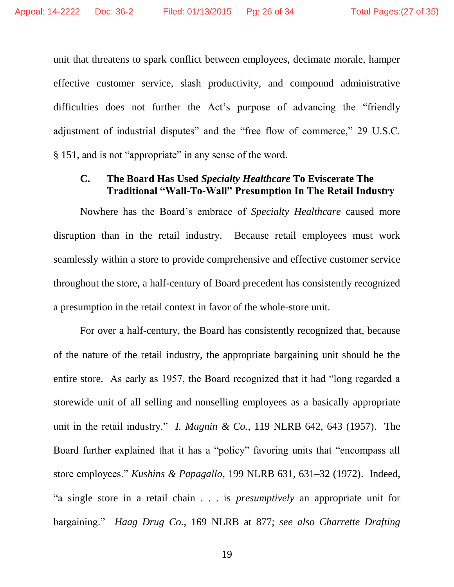unit that threatens to spark conflict between employees, decimate morale, hamper effective customer service, slash productivity, and compound administrative difficulties does not further the Act's purpose of advancing the "friendly adjustment of industrial disputes" and the "free flow of commerce," 29 U.S.C. § 151, and is not "appropriate" in any sense of the word.

### **C. The Board Has Used** *Specialty Healthcare* **To Eviscerate The Traditional "Wall-To-Wall" Presumption In The Retail Industry**

Nowhere has the Board's embrace of *Specialty Healthcare* caused more disruption than in the retail industry. Because retail employees must work seamlessly within a store to provide comprehensive and effective customer service throughout the store, a half-century of Board precedent has consistently recognized a presumption in the retail context in favor of the whole-store unit.

For over a half-century, the Board has consistently recognized that, because of the nature of the retail industry, the appropriate bargaining unit should be the entire store.As early as 1957, the Board recognized that it had "long regarded a storewide unit of all selling and nonselling employees as a basically appropriate unit in the retail industry." *I. Magnin & Co.*, 119 NLRB 642, 643 (1957). The Board further explained that it has a "policy" favoring units that "encompass all store employees." *Kushins & Papagallo*, 199 NLRB 631, 631–32 (1972). Indeed, "a single store in a retail chain . . . is *presumptively* an appropriate unit for bargaining." *Haag Drug Co.*, 169 NLRB at 877; *see also Charrette Drafting*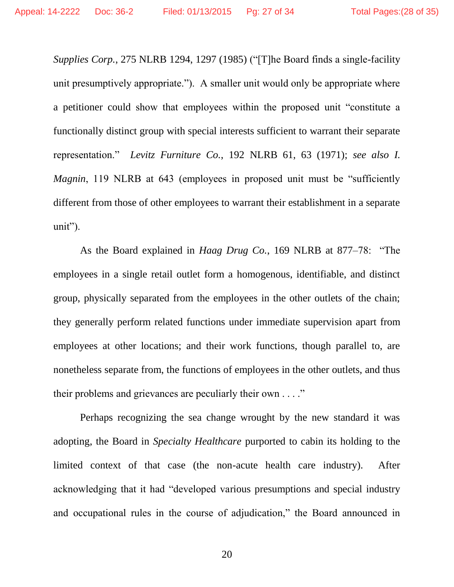*Supplies Corp.*, 275 NLRB 1294, 1297 (1985) ("[T]he Board finds a single-facility unit presumptively appropriate."). A smaller unit would only be appropriate where a petitioner could show that employees within the proposed unit "constitute a functionally distinct group with special interests sufficient to warrant their separate representation." *Levitz Furniture Co.*, 192 NLRB 61, 63 (1971); *see also I. Magnin*, 119 NLRB at 643 (employees in proposed unit must be "sufficiently different from those of other employees to warrant their establishment in a separate unit").

As the Board explained in *Haag Drug Co.*, 169 NLRB at 877–78: "The employees in a single retail outlet form a homogenous, identifiable, and distinct group, physically separated from the employees in the other outlets of the chain; they generally perform related functions under immediate supervision apart from employees at other locations; and their work functions, though parallel to, are nonetheless separate from, the functions of employees in the other outlets, and thus their problems and grievances are peculiarly their own . . . ."

Perhaps recognizing the sea change wrought by the new standard it was adopting, the Board in *Specialty Healthcare* purported to cabin its holding to the limited context of that case (the non-acute health care industry). After acknowledging that it had "developed various presumptions and special industry and occupational rules in the course of adjudication," the Board announced in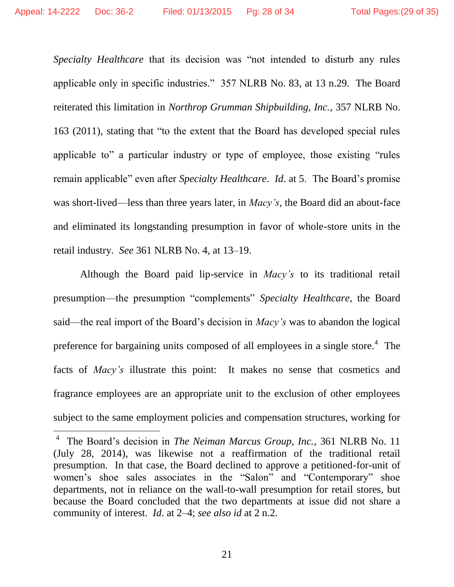$\overline{a}$ 

*Specialty Healthcare* that its decision was "not intended to disturb any rules applicable only in specific industries." 357 NLRB No. 83, at 13 n.29. The Board reiterated this limitation in *Northrop Grumman Shipbuilding, Inc.*, 357 NLRB No. 163 (2011), stating that "to the extent that the Board has developed special rules applicable to" a particular industry or type of employee, those existing "rules remain applicable" even after *Specialty Healthcare*. *Id*. at 5. The Board's promise was short-lived—less than three years later, in *Macy's*, the Board did an about-face and eliminated its longstanding presumption in favor of whole-store units in the retail industry. *See* 361 NLRB No. 4, at 13–19.

Although the Board paid lip-service in *Macy's* to its traditional retail presumption—the presumption "complements" *Specialty Healthcare*, the Board said—the real import of the Board's decision in *Macy's* was to abandon the logical preference for bargaining units composed of all employees in a single store.<sup>4</sup> The facts of *Macy's* illustrate this point: It makes no sense that cosmetics and fragrance employees are an appropriate unit to the exclusion of other employees subject to the same employment policies and compensation structures, working for

<sup>4</sup> The Board's decision in *The Neiman Marcus Group, Inc.*, 361 NLRB No. 11 (July 28, 2014), was likewise not a reaffirmation of the traditional retail presumption. In that case, the Board declined to approve a petitioned-for-unit of women's shoe sales associates in the "Salon" and "Contemporary" shoe departments, not in reliance on the wall-to-wall presumption for retail stores, but because the Board concluded that the two departments at issue did not share a community of interest. *Id*. at 2–4; *see also id* at 2 n.2.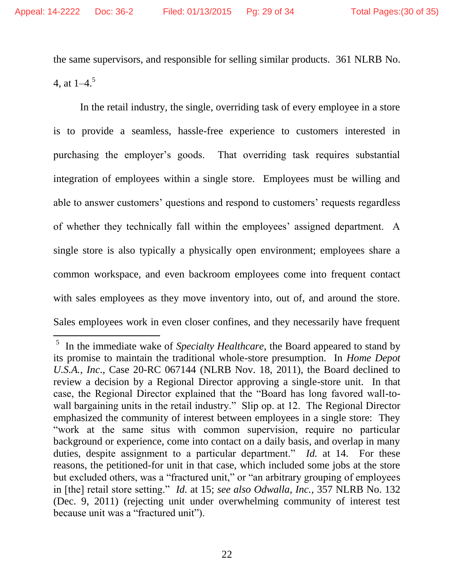$\overline{a}$ 

the same supervisors, and responsible for selling similar products. 361 NLRB No. 4, at  $1-4$ <sup>5</sup>

In the retail industry, the single, overriding task of every employee in a store is to provide a seamless, hassle-free experience to customers interested in purchasing the employer's goods. That overriding task requires substantial integration of employees within a single store. Employees must be willing and able to answer customers' questions and respond to customers' requests regardless of whether they technically fall within the employees' assigned department. A single store is also typically a physically open environment; employees share a common workspace, and even backroom employees come into frequent contact with sales employees as they move inventory into, out of, and around the store. Sales employees work in even closer confines, and they necessarily have frequent

<sup>&</sup>lt;sup>5</sup> In the immediate wake of *Specialty Healthcare*, the Board appeared to stand by its promise to maintain the traditional whole-store presumption. In *Home Depot U.S.A., Inc*., Case 20-RC 067144 (NLRB Nov. 18, 2011), the Board declined to review a decision by a Regional Director approving a single-store unit. In that case, the Regional Director explained that the "Board has long favored wall-towall bargaining units in the retail industry." Slip op. at 12. The Regional Director emphasized the community of interest between employees in a single store: They "work at the same situs with common supervision, require no particular background or experience, come into contact on a daily basis, and overlap in many duties, despite assignment to a particular department." *Id.* at 14. For these reasons, the petitioned-for unit in that case, which included some jobs at the store but excluded others, was a "fractured unit," or "an arbitrary grouping of employees in [the] retail store setting." *Id.* at 15; *see also Odwalla, Inc.*, 357 NLRB No. 132 (Dec. 9, 2011) (rejecting unit under overwhelming community of interest test because unit was a "fractured unit").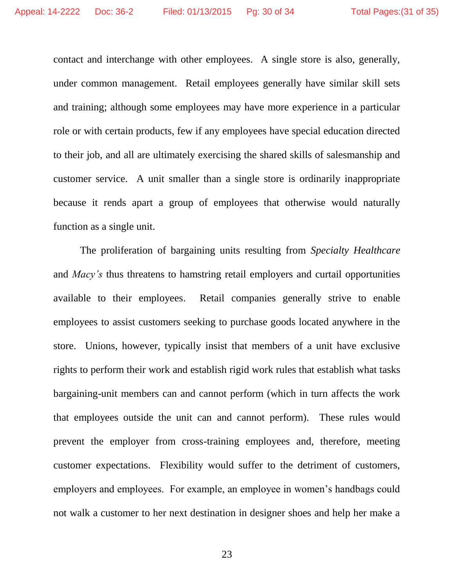contact and interchange with other employees. A single store is also, generally, under common management. Retail employees generally have similar skill sets and training; although some employees may have more experience in a particular role or with certain products, few if any employees have special education directed to their job, and all are ultimately exercising the shared skills of salesmanship and customer service. A unit smaller than a single store is ordinarily inappropriate because it rends apart a group of employees that otherwise would naturally function as a single unit.

The proliferation of bargaining units resulting from *Specialty Healthcare*  and *Macy's* thus threatens to hamstring retail employers and curtail opportunities available to their employees. Retail companies generally strive to enable employees to assist customers seeking to purchase goods located anywhere in the store. Unions, however, typically insist that members of a unit have exclusive rights to perform their work and establish rigid work rules that establish what tasks bargaining-unit members can and cannot perform (which in turn affects the work that employees outside the unit can and cannot perform). These rules would prevent the employer from cross-training employees and, therefore, meeting customer expectations. Flexibility would suffer to the detriment of customers, employers and employees. For example, an employee in women's handbags could not walk a customer to her next destination in designer shoes and help her make a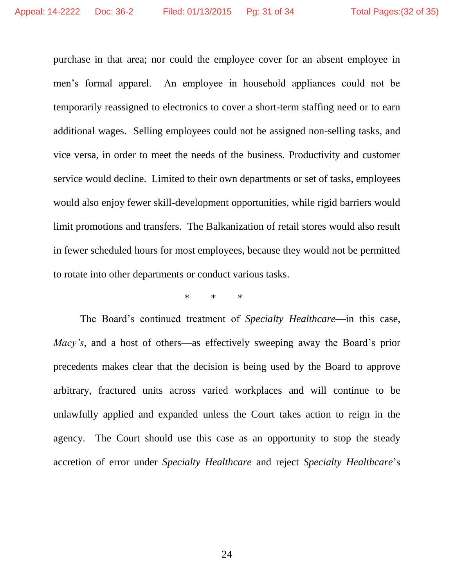purchase in that area; nor could the employee cover for an absent employee in men's formal apparel. An employee in household appliances could not be temporarily reassigned to electronics to cover a short-term staffing need or to earn additional wages. Selling employees could not be assigned non-selling tasks, and vice versa, in order to meet the needs of the business. Productivity and customer service would decline. Limited to their own departments or set of tasks, employees would also enjoy fewer skill-development opportunities, while rigid barriers would limit promotions and transfers. The Balkanization of retail stores would also result in fewer scheduled hours for most employees, because they would not be permitted to rotate into other departments or conduct various tasks.

\* \* \*

The Board's continued treatment of *Specialty Healthcare*—in this case, *Macy's*, and a host of others—as effectively sweeping away the Board's prior precedents makes clear that the decision is being used by the Board to approve arbitrary, fractured units across varied workplaces and will continue to be unlawfully applied and expanded unless the Court takes action to reign in the agency. The Court should use this case as an opportunity to stop the steady accretion of error under *Specialty Healthcare* and reject *Specialty Healthcare*'s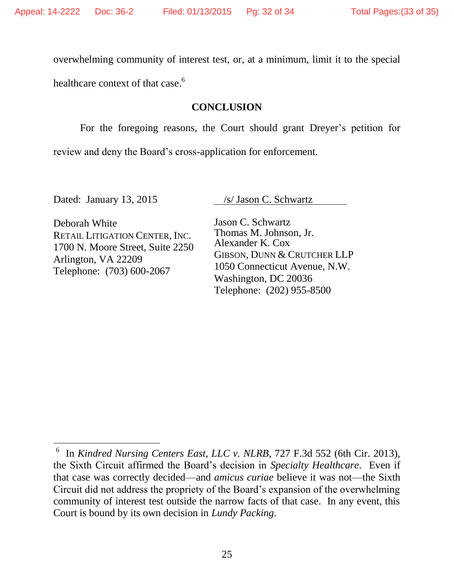overwhelming community of interest test, or, at a minimum, limit it to the special

healthcare context of that case.<sup>6</sup>

### **CONCLUSION**

For the foregoing reasons, the Court should grant Dreyer's petition for

review and deny the Board's cross-application for enforcement.

 $\overline{a}$ 

Dated: January 13, 2015 /s/ Jason C. Schwartz

Deborah White RETAIL LITIGATION CENTER, INC. 1700 N. Moore Street, Suite 2250 Arlington, VA 22209 Telephone: (703) 600-2067

Jason C. Schwartz Thomas M. Johnson, Jr. Alexander K. Cox GIBSON, DUNN & CRUTCHER LLP 1050 Connecticut Avenue, N.W. Washington, DC 20036 Telephone: (202) 955-8500

<sup>6</sup> In *Kindred Nursing Centers East, LLC v. NLRB*, 727 F.3d 552 (6th Cir. 2013), the Sixth Circuit affirmed the Board's decision in *Specialty Healthcare*. Even if that case was correctly decided—and *amicus curiae* believe it was not—the Sixth Circuit did not address the propriety of the Board's expansion of the overwhelming community of interest test outside the narrow facts of that case. In any event, this Court is bound by its own decision in *Lundy Packing*.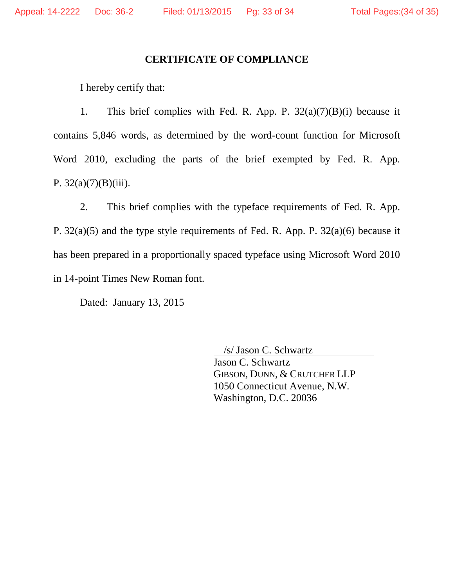### **CERTIFICATE OF COMPLIANCE**

I hereby certify that:

1. This brief complies with Fed. R. App. P.  $32(a)(7)(B)(i)$  because it contains 5,846 words, as determined by the word-count function for Microsoft Word 2010, excluding the parts of the brief exempted by Fed. R. App. P.  $32(a)(7)(B)(iii)$ .

2. This brief complies with the typeface requirements of Fed. R. App. P. 32(a)(5) and the type style requirements of Fed. R. App. P. 32(a)(6) because it has been prepared in a proportionally spaced typeface using Microsoft Word 2010 in 14-point Times New Roman font.

Dated: January 13, 2015

 /s/ Jason C. Schwartz Jason C. Schwartz GIBSON, DUNN, & CRUTCHER LLP 1050 Connecticut Avenue, N.W. Washington, D.C. 20036